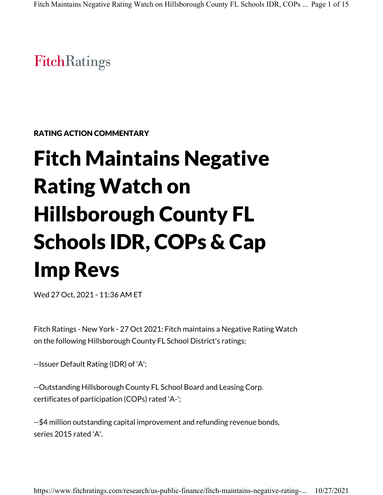**FitchRatings** 

RATING ACTION COMMENTARY

# Fitch Maintains Negative Rating Watch on Hillsborough County FL Schools IDR, COPs & Cap Imp Revs

Wed 27 Oct, 2021 - 11:36 AM ET

Fitch Ratings - New York - 27 Oct 2021: Fitch maintains a Negative Rating Watch on the following Hillsborough County FL School District's ratings:

--Issuer Default Rating (IDR) of 'A';

--Outstanding Hillsborough County FL School Board and Leasing Corp. certificates of participation (COPs) rated 'A-';

--\$4 million outstanding capital improvement and refunding revenue bonds, series 2015 rated 'A'.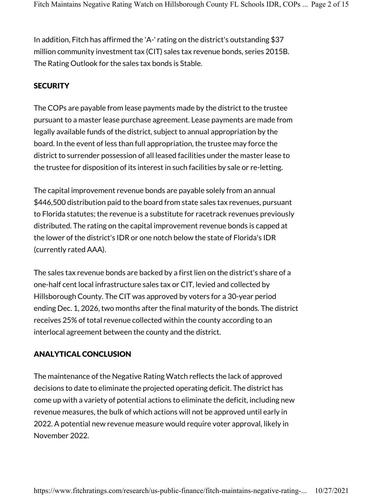In addition, Fitch has affirmed the 'A-' rating on the district's outstanding \$37 million community investment tax (CIT) sales tax revenue bonds, series 2015B. The Rating Outlook for the sales tax bonds is Stable.

#### **SECURITY**

The COPs are payable from lease payments made by the district to the trustee pursuant to a master lease purchase agreement. Lease payments are made from legally available funds of the district, subject to annual appropriation by the board. In the event of less than full appropriation, the trustee may force the district to surrender possession of all leased facilities under the master lease to the trustee for disposition of its interest in such facilities by sale or re-letting.

The capital improvement revenue bonds are payable solely from an annual \$446,500 distribution paid to the board from state sales tax revenues, pursuant to Florida statutes; the revenue is a substitute for racetrack revenues previously distributed. The rating on the capital improvement revenue bonds is capped at the lower of the district's IDR or one notch below the state of Florida's IDR (currently rated AAA).

The sales tax revenue bonds are backed by a first lien on the district's share of a one-half cent local infrastructure sales tax or CIT, levied and collected by Hillsborough County. The CIT was approved by voters for a 30-year period ending Dec. 1, 2026, two months after the final maturity of the bonds. The district receives 25% of total revenue collected within the county according to an interlocal agreement between the county and the district.

## ANALYTICAL CONCLUSION

The maintenance of the Negative Rating Watch reflects the lack of approved decisions to date to eliminate the projected operating deficit. The district has come up with a variety of potential actions to eliminate the deficit, including new revenue measures, the bulk of which actions will not be approved until early in 2022. A potential new revenue measure would require voter approval, likely in November 2022.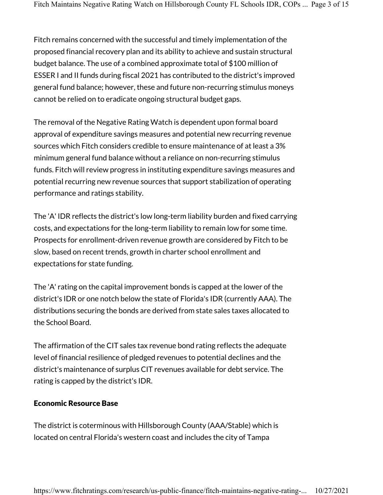Fitch remains concerned with the successful and timely implementation of the proposed financial recovery plan and its ability to achieve and sustain structural budget balance. The use of a combined approximate total of \$100 million of ESSER I and II funds during fiscal 2021 has contributed to the district's improved general fund balance; however, these and future non-recurring stimulus moneys cannot be relied on to eradicate ongoing structural budget gaps.

The removal of the Negative Rating Watch is dependent upon formal board approval of expenditure savings measures and potential new recurring revenue sources which Fitch considers credible to ensure maintenance of at least a 3% minimum general fund balance without a reliance on non-recurring stimulus funds. Fitch will review progress in instituting expenditure savings measures and potential recurring new revenue sources that support stabilization of operating performance and ratings stability.

The 'A' IDR reflects the district's low long-term liability burden and fixed carrying costs, and expectations for the long-term liability to remain low for some time. Prospects for enrollment-driven revenue growth are considered by Fitch to be slow, based on recent trends, growth in charter school enrollment and expectations for state funding.

The 'A' rating on the capital improvement bonds is capped at the lower of the district's IDR or one notch below the state of Florida's IDR (currently AAA). The distributions securing the bonds are derived from state sales taxes allocated to the School Board.

The affirmation of the CIT sales tax revenue bond rating reflects the adequate level of financial resilience of pledged revenues to potential declines and the district's maintenance of surplus CIT revenues available for debt service. The rating is capped by the district's IDR.

#### Economic Resource Base

The district is coterminous with Hillsborough County (AAA/Stable) which is located on central Florida's western coast and includes the city of Tampa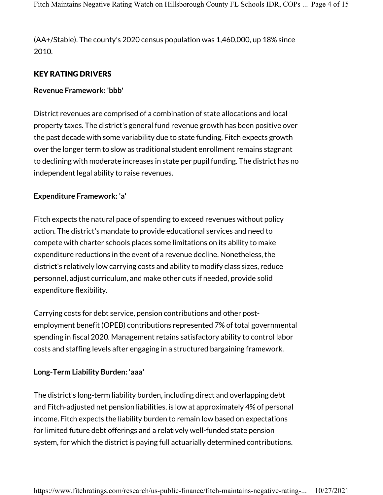(AA+/Stable). The county's 2020 census population was 1,460,000, up 18% since 2010.

## KEY RATING DRIVERS

#### **Revenue Framework: 'bbb'**

District revenues are comprised of a combination of state allocations and local property taxes. The district's general fund revenue growth has been positive over the past decade with some variability due to state funding. Fitch expects growth over the longer term to slow as traditional student enrollment remains stagnant to declining with moderate increases in state per pupil funding. The district has no independent legal ability to raise revenues.

#### **Expenditure Framework: 'a'**

Fitch expects the natural pace of spending to exceed revenues without policy action. The district's mandate to provide educational services and need to compete with charter schools places some limitations on its ability to make expenditure reductions in the event of a revenue decline. Nonetheless, the district's relatively low carrying costs and ability to modify class sizes, reduce personnel, adjust curriculum, and make other cuts if needed, provide solid expenditure flexibility.

Carrying costs for debt service, pension contributions and other postemployment benefit (OPEB) contributions represented 7% of total governmental spending in fiscal 2020. Management retains satisfactory ability to control labor costs and staffing levels after engaging in a structured bargaining framework.

#### **Long-Term Liability Burden: 'aaa'**

The district's long-term liability burden, including direct and overlapping debt and Fitch-adjusted net pension liabilities, is low at approximately 4% of personal income. Fitch expects the liability burden to remain low based on expectations for limited future debt offerings and a relatively well-funded state pension system, for which the district is paying full actuarially determined contributions.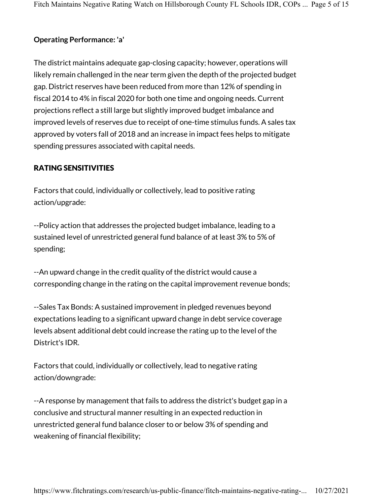#### **Operating Performance: 'a'**

The district maintains adequate gap-closing capacity; however, operations will likely remain challenged in the near term given the depth of the projected budget gap. District reserves have been reduced from more than 12% of spending in fiscal 2014 to 4% in fiscal 2020 for both one time and ongoing needs. Current projections reflect a still large but slightly improved budget imbalance and improved levels of reserves due to receipt of one-time stimulus funds. A sales tax approved by voters fall of 2018 and an increase in impact fees helps to mitigate spending pressures associated with capital needs.

## RATING SENSITIVITIES

Factors that could, individually or collectively, lead to positive rating action/upgrade:

--Policy action that addresses the projected budget imbalance, leading to a sustained level of unrestricted general fund balance of at least 3% to 5% of spending;

--An upward change in the credit quality of the district would cause a corresponding change in the rating on the capital improvement revenue bonds;

--Sales Tax Bonds: A sustained improvement in pledged revenues beyond expectations leading to a significant upward change in debt service coverage levels absent additional debt could increase the rating up to the level of the District's IDR.

Factors that could, individually or collectively, lead to negative rating action/downgrade:

--A response by management that fails to address the district's budget gap in a conclusive and structural manner resulting in an expected reduction in unrestricted general fund balance closer to or below 3% of spending and weakening of financial flexibility;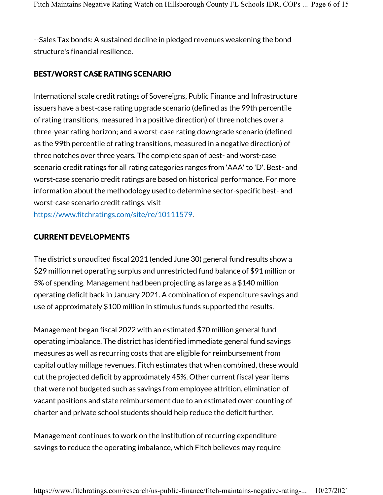--Sales Tax bonds: A sustained decline in pledged revenues weakening the bond structure's financial resilience.

## BEST/WORST CASE RATING SCENARIO

International scale credit ratings of Sovereigns, Public Finance and Infrastructure issuers have a best-case rating upgrade scenario (defined as the 99th percentile of rating transitions, measured in a positive direction) of three notches over a three-year rating horizon; and a worst-case rating downgrade scenario (defined as the 99th percentile of rating transitions, measured in a negative direction) of three notches over three years. The complete span of best- and worst-case scenario credit ratings for all rating categories ranges from 'AAA' to 'D'. Best- and worst-case scenario credit ratings are based on historical performance. For more information about the methodology used to determine sector-specific best- and worst-case scenario credit ratings, visit https://www.fitchratings.com/site/re/10111579.

#### CURRENT DEVELOPMENTS

The district's unaudited fiscal 2021 (ended June 30) general fund results show a \$29 million net operating surplus and unrestricted fund balance of \$91 million or 5% of spending. Management had been projecting as large as a \$140 million operating deficit back in January 2021. A combination of expenditure savings and use of approximately \$100 million in stimulus funds supported the results.

Management began fiscal 2022 with an estimated \$70 million general fund operating imbalance. The district has identified immediate general fund savings measures as well as recurring costs that are eligible for reimbursement from capital outlay millage revenues. Fitch estimates that when combined, these would cut the projected deficit by approximately 45%. Other current fiscal year items that were not budgeted such as savings from employee attrition, elimination of vacant positions and state reimbursement due to an estimated over-counting of charter and private school students should help reduce the deficit further.

Management continues to work on the institution of recurring expenditure savings to reduce the operating imbalance, which Fitch believes may require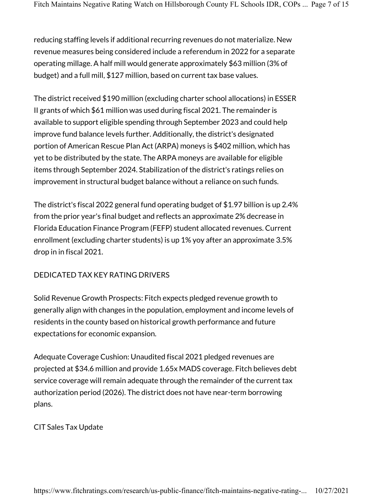reducing staffing levels if additional recurring revenues do not materialize. New revenue measures being considered include a referendum in 2022 for a separate operating millage. A half mill would generate approximately \$63 million (3% of budget) and a full mill, \$127 million, based on current tax base values.

The district received \$190 million (excluding charter school allocations) in ESSER II grants of which \$61 million was used during fiscal 2021. The remainder is available to support eligible spending through September 2023 and could help improve fund balance levels further. Additionally, the district's designated portion of American Rescue Plan Act (ARPA) moneys is \$402 million, which has yet to be distributed by the state. The ARPA moneys are available for eligible items through September 2024. Stabilization of the district's ratings relies on improvement in structural budget balance without a reliance on such funds.

The district's fiscal 2022 general fund operating budget of \$1.97 billion is up 2.4% from the prior year's final budget and reflects an approximate 2% decrease in Florida Education Finance Program (FEFP) student allocated revenues. Current enrollment (excluding charter students) is up 1% yoy after an approximate 3.5% drop in in fiscal 2021.

# DEDICATED TAX KEY RATING DRIVERS

Solid Revenue Growth Prospects: Fitch expects pledged revenue growth to generally align with changes in the population, employment and income levels of residents in the county based on historical growth performance and future expectations for economic expansion.

Adequate Coverage Cushion: Unaudited fiscal 2021 pledged revenues are projected at \$34.6 million and provide 1.65x MADS coverage. Fitch believes debt service coverage will remain adequate through the remainder of the current tax authorization period (2026). The district does not have near-term borrowing plans.

## CIT Sales Tax Update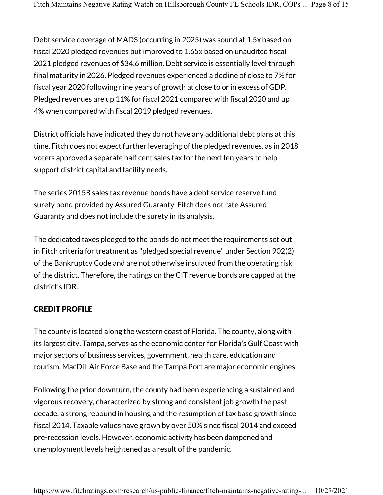Debt service coverage of MADS (occurring in 2025) was sound at 1.5x based on fiscal 2020 pledged revenues but improved to 1.65x based on unaudited fiscal 2021 pledged revenues of \$34.6 million. Debt service is essentially level through final maturity in 2026. Pledged revenues experienced a decline of close to 7% for fiscal year 2020 following nine years of growth at close to or in excess of GDP. Pledged revenues are up 11% for fiscal 2021 compared with fiscal 2020 and up 4% when compared with fiscal 2019 pledged revenues.

District officials have indicated they do not have any additional debt plans at this time. Fitch does not expect further leveraging of the pledged revenues, as in 2018 voters approved a separate half cent sales tax for the next ten years to help support district capital and facility needs.

The series 2015B sales tax revenue bonds have a debt service reserve fund surety bond provided by Assured Guaranty. Fitch does not rate Assured Guaranty and does not include the surety in its analysis.

The dedicated taxes pledged to the bonds do not meet the requirements set out in Fitch criteria for treatment as "pledged special revenue" under Section 902(2) of the Bankruptcy Code and are not otherwise insulated from the operating risk of the district. Therefore, the ratings on the CIT revenue bonds are capped at the district's IDR.

# CREDIT PROFILE

The county is located along the western coast of Florida. The county, along with its largest city, Tampa, serves as the economic center for Florida's Gulf Coast with major sectors of business services, government, health care, education and tourism. MacDill Air Force Base and the Tampa Port are major economic engines.

Following the prior downturn, the county had been experiencing a sustained and vigorous recovery, characterized by strong and consistent job growth the past decade, a strong rebound in housing and the resumption of tax base growth since fiscal 2014. Taxable values have grown by over 50% since fiscal 2014 and exceed pre-recession levels. However, economic activity has been dampened and unemployment levels heightened as a result of the pandemic.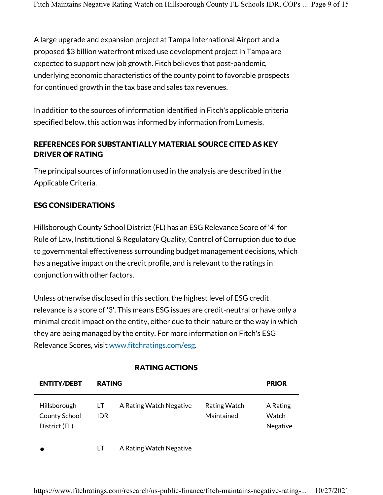A large upgrade and expansion project at Tampa International Airport and a proposed \$3 billion waterfront mixed use development project in Tampa are expected to support new job growth. Fitch believes that post-pandemic, underlying economic characteristics of the county point to favorable prospects for continued growth in the tax base and sales tax revenues.

In addition to the sources of information identified in Fitch's applicable criteria specified below, this action was informed by information from Lumesis.

# REFERENCES FOR SUBSTANTIALLY MATERIAL SOURCE CITED AS KEY DRIVER OF RATING

The principal sources of information used in the analysis are described in the Applicable Criteria.

# ESG CONSIDERATIONS

Hillsborough County School District (FL) has an ESG Relevance Score of '4' for Rule of Law, Institutional & Regulatory Quality, Control of Corruption due to due to governmental effectiveness surrounding budget management decisions, which has a negative impact on the credit profile, and is relevant to the ratings in conjunction with other factors.

Unless otherwise disclosed in this section, the highest level of ESG credit relevance is a score of '3'. This means ESG issues are credit-neutral or have only a minimal credit impact on the entity, either due to their nature or the way in which they are being managed by the entity. For more information on Fitch's ESG Relevance Scores, visit www.fitchratings.com/esg.

| <b>ENTITY/DEBT</b>                             | <b>RATING</b> |                         |                            | <b>PRIOR</b>                         |
|------------------------------------------------|---------------|-------------------------|----------------------------|--------------------------------------|
| Hillsborough<br>County School<br>District (FL) | LT<br>IDR.    | A Rating Watch Negative | Rating Watch<br>Maintained | A Rating<br><b>Watch</b><br>Negative |
|                                                |               | A Rating Watch Negative |                            |                                      |

## RATING ACTIONS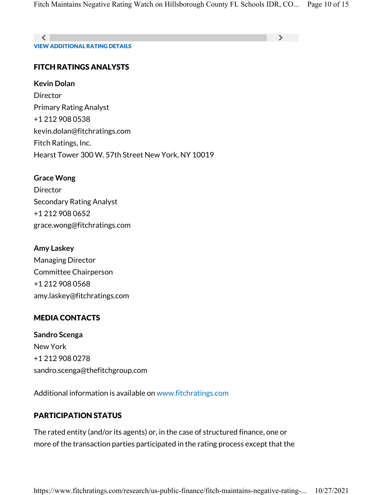VIEW ADDITIONAL RATING DETAILS  $\langle$  , and the contract of the contract of the contract of  $\langle$ 

## FITCH RATINGS ANALYSTS

**Kevin Dolan**

**Director** Primary Rating Analyst +1 212 908 0538 kevin.dolan@fitchratings.com Fitch Ratings, Inc. Hearst Tower 300 W. 57th Street New York, NY 10019

#### **Grace Wong**

Director Secondary Rating Analyst +1 212 908 0652 grace.wong@fitchratings.com

#### **Amy Laskey**

Managing Director Committee Chairperson +1 212 908 0568 amy.laskey@fitchratings.com

## MEDIA CONTACTS

**Sandro Scenga** New York +1 212 908 0278 sandro.scenga@thefitchgroup.com

Additional information is available on www.fitchratings.com

# PARTICIPATION STATUS

The rated entity (and/or its agents) or, in the case of structured finance, one or more of the transaction parties participated in the rating process except that the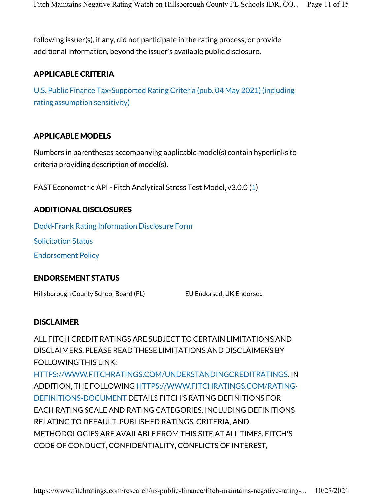following issuer(s), if any, did not participate in the rating process, or provide additional information, beyond the issuer's available public disclosure.

## APPLICABLE CRITERIA

U.S. Public Finance Tax-Supported Rating Criteria (pub. 04 May 2021) (including rating assumption sensitivity)

#### APPLICABLE MODELS

Numbers in parentheses accompanying applicable model(s) contain hyperlinks to criteria providing description of model(s).

FAST Econometric API - Fitch Analytical Stress Test Model, v3.0.0 (1)

## ADDITIONAL DISCLOSURES

Dodd-Frank Rating Information Disclosure Form Solicitation Status Endorsement Policy

## ENDORSEMENT STATUS

Hillsborough County School Board (FL) EU Endorsed, UK Endorsed

## DISCLAIMER

ALL FITCH CREDIT RATINGS ARE SUBJECT TO CERTAIN LIMITATIONS AND DISCLAIMERS. PLEASE READ THESE LIMITATIONS AND DISCLAIMERS BY FOLLOWING THIS LINK: HTTPS://WWW.FITCHRATINGS.COM/UNDERSTANDINGCREDITRATINGS. IN ADDITION, THE FOLLOWING HTTPS://WWW.FITCHRATINGS.COM/RATING-DEFINITIONS-DOCUMENT DETAILS FITCH'S RATING DEFINITIONS FOR EACH RATING SCALE AND RATING CATEGORIES, INCLUDING DEFINITIONS RELATING TO DEFAULT. PUBLISHED RATINGS, CRITERIA, AND METHODOLOGIES ARE AVAILABLE FROM THIS SITE AT ALL TIMES. FITCH'S CODE OF CONDUCT, CONFIDENTIALITY, CONFLICTS OF INTEREST,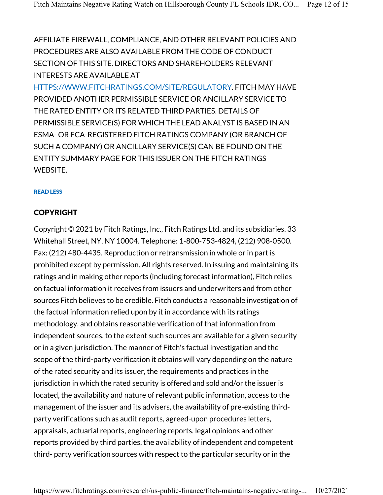AFFILIATE FIREWALL, COMPLIANCE, AND OTHER RELEVANT POLICIES AND PROCEDURES ARE ALSO AVAILABLE FROM THE CODE OF CONDUCT SECTION OF THIS SITE. DIRECTORS AND SHAREHOLDERS RELEVANT INTERESTS ARE AVAILABLE AT

HTTPS://WWW.FITCHRATINGS.COM/SITE/REGULATORY. FITCH MAY HAVE PROVIDED ANOTHER PERMISSIBLE SERVICE OR ANCILLARY SERVICE TO THE RATED ENTITY OR ITS RELATED THIRD PARTIES. DETAILS OF PERMISSIBLE SERVICE(S) FOR WHICH THE LEAD ANALYST IS BASED IN AN ESMA- OR FCA-REGISTERED FITCH RATINGS COMPANY (OR BRANCH OF SUCH A COMPANY) OR ANCILLARY SERVICE(S) CAN BE FOUND ON THE ENTITY SUMMARY PAGE FOR THIS ISSUER ON THE FITCH RATINGS WEBSITE.

#### READ LESS

#### COPYRIGHT

Copyright © 2021 by Fitch Ratings, Inc., Fitch Ratings Ltd. and its subsidiaries. 33 Whitehall Street, NY, NY 10004. Telephone: 1-800-753-4824, (212) 908-0500. Fax: (212) 480-4435. Reproduction or retransmission in whole or in part is prohibited except by permission. All rights reserved. In issuing and maintaining its ratings and in making other reports (including forecast information), Fitch relies on factual information it receives from issuers and underwriters and from other sources Fitch believes to be credible. Fitch conducts a reasonable investigation of the factual information relied upon by it in accordance with its ratings methodology, and obtains reasonable verification of that information from independent sources, to the extent such sources are available for a given security or in a given jurisdiction. The manner of Fitch's factual investigation and the scope of the third-party verification it obtains will vary depending on the nature of the rated security and its issuer, the requirements and practices in the jurisdiction in which the rated security is offered and sold and/or the issuer is located, the availability and nature of relevant public information, access to the management of the issuer and its advisers, the availability of pre-existing thirdparty verifications such as audit reports, agreed-upon procedures letters, appraisals, actuarial reports, engineering reports, legal opinions and other reports provided by third parties, the availability of independent and competent third- party verification sources with respect to the particular security or in the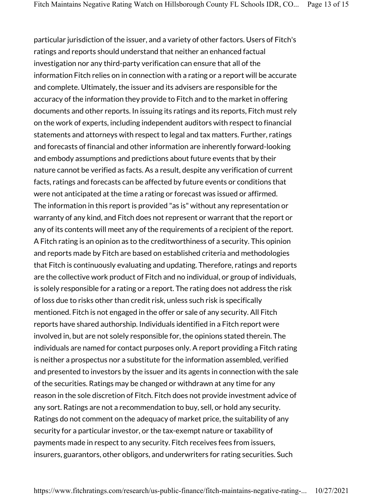particular jurisdiction of the issuer, and a variety of other factors. Users of Fitch's ratings and reports should understand that neither an enhanced factual investigation nor any third-party verification can ensure that all of the information Fitch relies on in connection with a rating or a report will be accurate and complete. Ultimately, the issuer and its advisers are responsible for the accuracy of the information they provide to Fitch and to the market in offering documents and other reports. In issuing its ratings and its reports, Fitch must rely on the work of experts, including independent auditors with respect to financial statements and attorneys with respect to legal and tax matters. Further, ratings and forecasts of financial and other information are inherently forward-looking and embody assumptions and predictions about future events that by their nature cannot be verified as facts. As a result, despite any verification of current facts, ratings and forecasts can be affected by future events or conditions that were not anticipated at the time a rating or forecast was issued or affirmed. The information in this report is provided "as is" without any representation or warranty of any kind, and Fitch does not represent or warrant that the report or any of its contents will meet any of the requirements of a recipient of the report. A Fitch rating is an opinion as to the creditworthiness of a security. This opinion and reports made by Fitch are based on established criteria and methodologies that Fitch is continuously evaluating and updating. Therefore, ratings and reports are the collective work product of Fitch and no individual, or group of individuals, is solely responsible for a rating or a report. The rating does not address the risk of loss due to risks other than credit risk, unless such risk is specifically mentioned. Fitch is not engaged in the offer or sale of any security. All Fitch reports have shared authorship. Individuals identified in a Fitch report were involved in, but are not solely responsible for, the opinions stated therein. The individuals are named for contact purposes only. A report providing a Fitch rating is neither a prospectus nor a substitute for the information assembled, verified and presented to investors by the issuer and its agents in connection with the sale of the securities. Ratings may be changed or withdrawn at any time for any reason in the sole discretion of Fitch. Fitch does not provide investment advice of any sort. Ratings are not a recommendation to buy, sell, or hold any security. Ratings do not comment on the adequacy of market price, the suitability of any security for a particular investor, or the tax-exempt nature or taxability of payments made in respect to any security. Fitch receives fees from issuers, insurers, guarantors, other obligors, and underwriters for rating securities. Such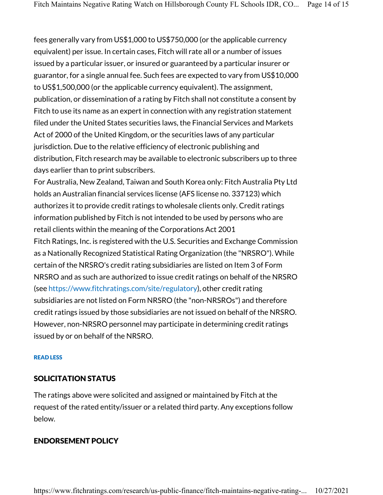fees generally vary from US\$1,000 to US\$750,000 (or the applicable currency equivalent) per issue. In certain cases, Fitch will rate all or a number of issues issued by a particular issuer, or insured or guaranteed by a particular insurer or guarantor, for a single annual fee. Such fees are expected to vary from US\$10,000 to US\$1,500,000 (or the applicable currency equivalent). The assignment, publication, or dissemination of a rating by Fitch shall not constitute a consent by Fitch to use its name as an expert in connection with any registration statement filed under the United States securities laws, the Financial Services and Markets Act of 2000 of the United Kingdom, or the securities laws of any particular jurisdiction. Due to the relative efficiency of electronic publishing and distribution, Fitch research may be available to electronic subscribers up to three days earlier than to print subscribers.

For Australia, New Zealand, Taiwan and South Korea only: Fitch Australia Pty Ltd holds an Australian financial services license (AFS license no. 337123) which authorizes it to provide credit ratings to wholesale clients only. Credit ratings information published by Fitch is not intended to be used by persons who are retail clients within the meaning of the Corporations Act 2001 Fitch Ratings, Inc. is registered with the U.S. Securities and Exchange Commission as a Nationally Recognized Statistical Rating Organization (the "NRSRO"). While certain of the NRSRO's credit rating subsidiaries are listed on Item 3 of Form NRSRO and as such are authorized to issue credit ratings on behalf of the NRSRO (see https://www.fitchratings.com/site/regulatory), other credit rating subsidiaries are not listed on Form NRSRO (the "non-NRSROs") and therefore credit ratings issued by those subsidiaries are not issued on behalf of the NRSRO. However, non-NRSRO personnel may participate in determining credit ratings issued by or on behalf of the NRSRO.

#### READ LESS

#### SOLICITATION STATUS

The ratings above were solicited and assigned or maintained by Fitch at the request of the rated entity/issuer or a related third party. Any exceptions follow below.

#### ENDORSEMENT POLICY